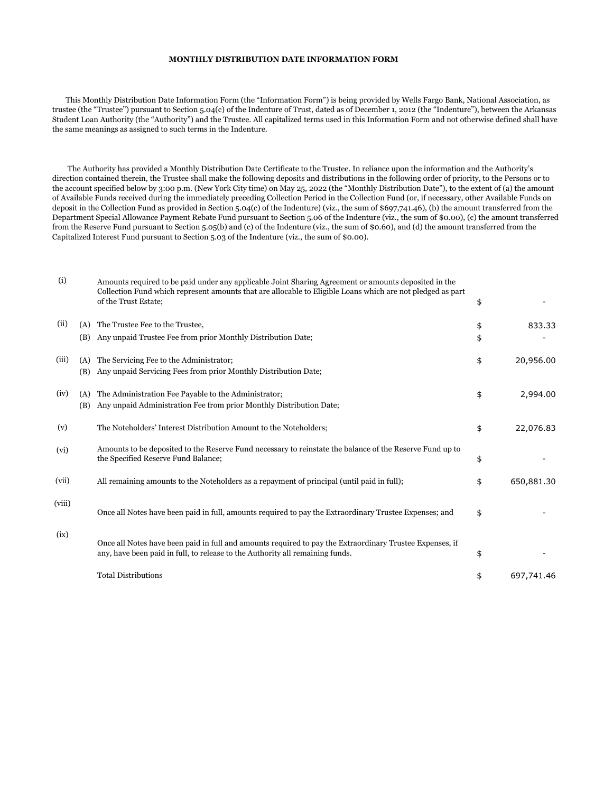## **MONTHLY DISTRIBUTION DATE INFORMATION FORM**

 This Monthly Distribution Date Information Form (the "Information Form") is being provided by Wells Fargo Bank, National Association, as trustee (the "Trustee") pursuant to Section 5.04(c) of the Indenture of Trust, dated as of December 1, 2012 (the "Indenture"), between the Arkansas Student Loan Authority (the "Authority") and the Trustee. All capitalized terms used in this Information Form and not otherwise defined shall have the same meanings as assigned to such terms in the Indenture.

 The Authority has provided a Monthly Distribution Date Certificate to the Trustee. In reliance upon the information and the Authority's direction contained therein, the Trustee shall make the following deposits and distributions in the following order of priority, to the Persons or to the account specified below by 3:00 p.m. (New York City time) on May 25, 2022 (the "Monthly Distribution Date"), to the extent of (a) the amount of Available Funds received during the immediately preceding Collection Period in the Collection Fund (or, if necessary, other Available Funds on deposit in the Collection Fund as provided in Section 5.04(c) of the Indenture) (viz., the sum of \$697,741.46), (b) the amount transferred from the Department Special Allowance Payment Rebate Fund pursuant to Section 5.06 of the Indenture (viz., the sum of \$0.00), (c) the amount transferred from the Reserve Fund pursuant to Section 5.05(b) and (c) of the Indenture (viz., the sum of \$0.60), and (d) the amount transferred from the Capitalized Interest Fund pursuant to Section 5.03 of the Indenture (viz., the sum of \$0.00).

| (i)    |            | Amounts required to be paid under any applicable Joint Sharing Agreement or amounts deposited in the<br>Collection Fund which represent amounts that are allocable to Eligible Loans which are not pledged as part<br>of the Trust Estate; | \$       |            |
|--------|------------|--------------------------------------------------------------------------------------------------------------------------------------------------------------------------------------------------------------------------------------------|----------|------------|
| (ii)   | (A)<br>(B) | The Trustee Fee to the Trustee,<br>Any unpaid Trustee Fee from prior Monthly Distribution Date;                                                                                                                                            | \$<br>\$ | 833.33     |
| (iii)  | (A)<br>(B) | The Servicing Fee to the Administrator;<br>Any unpaid Servicing Fees from prior Monthly Distribution Date;                                                                                                                                 | \$       | 20,956.00  |
| (iv)   | (A)<br>(B) | The Administration Fee Payable to the Administrator;<br>Any unpaid Administration Fee from prior Monthly Distribution Date;                                                                                                                | \$       | 2,994.00   |
| (v)    |            | The Noteholders' Interest Distribution Amount to the Noteholders;                                                                                                                                                                          | \$       | 22,076.83  |
| (vi)   |            | Amounts to be deposited to the Reserve Fund necessary to reinstate the balance of the Reserve Fund up to<br>the Specified Reserve Fund Balance;                                                                                            | \$       |            |
| (vii)  |            | All remaining amounts to the Noteholders as a repayment of principal (until paid in full);                                                                                                                                                 | \$       | 650,881.30 |
| (viii) |            | Once all Notes have been paid in full, amounts required to pay the Extraordinary Trustee Expenses; and                                                                                                                                     | \$       |            |
| (ix)   |            | Once all Notes have been paid in full and amounts required to pay the Extraordinary Trustee Expenses, if<br>any, have been paid in full, to release to the Authority all remaining funds.                                                  | \$       |            |
|        |            | <b>Total Distributions</b>                                                                                                                                                                                                                 | \$       | 697,741.46 |